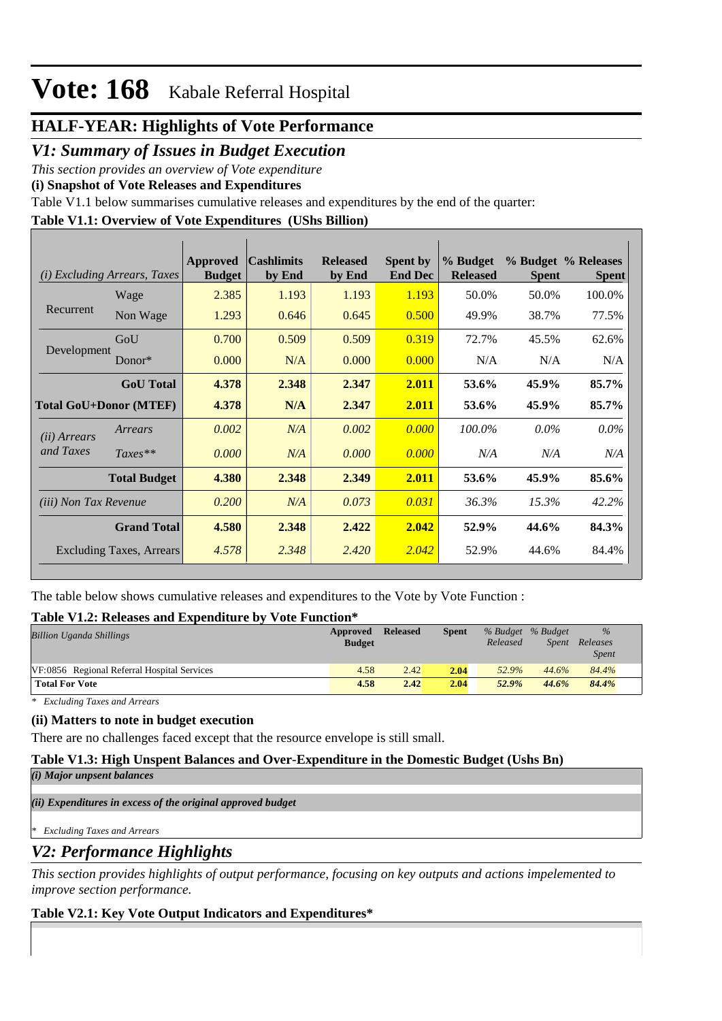## **HALF-YEAR: Highlights of Vote Performance**

## *V1: Summary of Issues in Budget Execution*

*This section provides an overview of Vote expenditure* 

**(i) Snapshot of Vote Releases and Expenditures**

Table V1.1 below summarises cumulative releases and expenditures by the end of the quarter:

### **Table V1.1: Overview of Vote Expenditures (UShs Billion)**

| (i)                           | <i>Excluding Arrears, Taxes</i> | <b>Approved</b><br><b>Budget</b> | <b>Cashlimits</b><br>by End | <b>Released</b><br>by End | <b>Spent by</b><br><b>End Dec</b> | % Budget<br><b>Released</b> | <b>Spent</b> | % Budget % Releases<br><b>Spent</b> |
|-------------------------------|---------------------------------|----------------------------------|-----------------------------|---------------------------|-----------------------------------|-----------------------------|--------------|-------------------------------------|
|                               | Wage                            | 2.385                            | 1.193                       | 1.193                     | 1.193                             | 50.0%                       | 50.0%        | 100.0%                              |
| Recurrent                     | Non Wage                        | 1.293                            | 0.646                       | 0.645                     | 0.500                             | 49.9%                       | 38.7%        | 77.5%                               |
|                               | GoU                             | 0.700                            | 0.509                       | 0.509                     | 0.319                             | 72.7%                       | 45.5%        | 62.6%                               |
| Development                   | Donor*                          | 0.000                            | N/A                         | 0.000                     | 0.000                             | N/A                         | N/A          | N/A                                 |
|                               | <b>GoU</b> Total                | 4.378                            | 2.348                       | 2.347                     | 2.011                             | 53.6%                       | 45.9%        | 85.7%                               |
| <b>Total GoU+Donor (MTEF)</b> |                                 | 4.378                            | N/A                         | 2.347                     | 2.011                             | 53.6%                       | 45.9%        | 85.7%                               |
| (ii) Arrears                  | Arrears                         | 0.002                            | N/A                         | 0.002                     | 0.000                             | 100.0%                      | $0.0\%$      | $0.0\%$                             |
| and Taxes                     | $Taxes**$                       | 0.000                            | N/A                         | 0.000                     | 0.000                             | N/A                         | N/A          | N/A                                 |
|                               | <b>Total Budget</b>             | 4.380                            | 2.348                       | 2.349                     | 2.011                             | 53.6%                       | 45.9%        | 85.6%                               |
| <i>(iii)</i> Non Tax Revenue  |                                 | 0.200                            | N/A                         | 0.073                     | 0.031                             | 36.3%                       | 15.3%        | 42.2%                               |
|                               | <b>Grand Total</b>              | 4.580                            | 2.348                       | 2.422                     | 2.042                             | 52.9%                       | 44.6%        | 84.3%                               |
|                               | <b>Excluding Taxes, Arrears</b> | 4.578                            | 2.348                       | 2.420                     | 2.042                             | 52.9%                       | 44.6%        | 84.4%                               |

The table below shows cumulative releases and expenditures to the Vote by Vote Function :

### **Table V1.2: Releases and Expenditure by Vote Function\***

| <b>Billion Uganda Shillings</b>             | Approved<br><b>Budget</b> | <b>Released</b> | Spent | % Budget % Budget<br>Released | <i>Spent</i> | $\frac{0}{0}$<br>Releases<br><i>Spent</i> |
|---------------------------------------------|---------------------------|-----------------|-------|-------------------------------|--------------|-------------------------------------------|
| VF:0856 Regional Referral Hospital Services | 4.58                      | 2.42            | 2.04  | 52.9%                         | 44.6%        | 84.4%                                     |
| <b>Total For Vote</b>                       | 4.58                      | 2.42            | 2.04  | 52.9%                         | 44.6%        | 84.4%                                     |

*\* Excluding Taxes and Arrears*

### **(ii) Matters to note in budget execution**

There are no challenges faced except that the resource envelope is still small.

### **Table V1.3: High Unspent Balances and Over-Expenditure in the Domestic Budget (Ushs Bn)**

*(i) Major unpsent balances*

*(ii) Expenditures in excess of the original approved budget*

*\* Excluding Taxes and Arrears*

## *V2: Performance Highlights*

*This section provides highlights of output performance, focusing on key outputs and actions impelemented to improve section performance.*

### **Table V2.1: Key Vote Output Indicators and Expenditures\***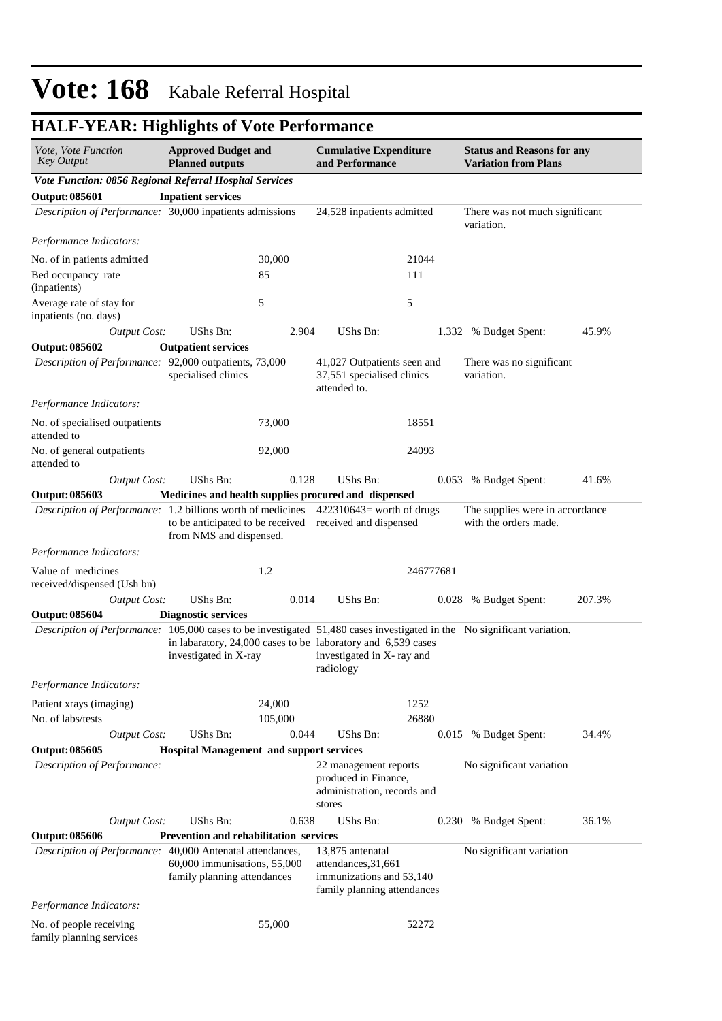# **HALF-YEAR: Highlights of Vote Performance**

| Vote, Vote Function<br><b>Key Output</b>                                                                                | <b>Approved Budget and</b><br><b>Planned outputs</b>        |                   | <b>Cumulative Expenditure</b><br>and Performance                                                        |               | <b>Status and Reasons for any</b><br><b>Variation from Plans</b> |        |  |
|-------------------------------------------------------------------------------------------------------------------------|-------------------------------------------------------------|-------------------|---------------------------------------------------------------------------------------------------------|---------------|------------------------------------------------------------------|--------|--|
| Vote Function: 0856 Regional Referral Hospital Services                                                                 |                                                             |                   |                                                                                                         |               |                                                                  |        |  |
| <b>Output: 085601</b>                                                                                                   | <b>Inpatient services</b>                                   |                   |                                                                                                         |               |                                                                  |        |  |
| Description of Performance: 30,000 inpatients admissions                                                                |                                                             |                   | 24,528 inpatients admitted                                                                              |               | There was not much significant<br>variation.                     |        |  |
| Performance Indicators:                                                                                                 |                                                             |                   |                                                                                                         |               |                                                                  |        |  |
| No. of in patients admitted                                                                                             |                                                             | 30,000            |                                                                                                         | 21044         |                                                                  |        |  |
| Bed occupancy rate<br>(inpatients)                                                                                      |                                                             | 85                |                                                                                                         | 111           |                                                                  |        |  |
| Average rate of stay for<br>inpatients (no. days)                                                                       |                                                             | 5                 |                                                                                                         | 5             |                                                                  |        |  |
| <b>Output Cost:</b>                                                                                                     | UShs Bn:                                                    | 2.904             | UShs Bn:                                                                                                |               | 1.332 % Budget Spent:                                            | 45.9%  |  |
| <b>Output: 085602</b>                                                                                                   | <b>Outpatient services</b>                                  |                   |                                                                                                         |               |                                                                  |        |  |
| Description of Performance: 92,000 outpatients, 73,000                                                                  | specialised clinics                                         |                   | 41,027 Outpatients seen and<br>37,551 specialised clinics<br>attended to.                               |               | There was no significant<br>variation.                           |        |  |
| Performance Indicators:                                                                                                 |                                                             |                   |                                                                                                         |               |                                                                  |        |  |
| No. of specialised outpatients<br>attended to                                                                           |                                                             | 73,000            |                                                                                                         | 18551         |                                                                  |        |  |
| No. of general outpatients<br>attended to                                                                               |                                                             | 92,000            |                                                                                                         | 24093         |                                                                  |        |  |
| <b>Output Cost:</b>                                                                                                     | UShs Bn:                                                    | 0.128             | UShs Bn:                                                                                                |               | 0.053 % Budget Spent:                                            | 41.6%  |  |
| <b>Output: 085603</b>                                                                                                   |                                                             |                   | Medicines and health supplies procured and dispensed                                                    |               |                                                                  |        |  |
| Description of Performance: 1.2 billions worth of medicines 422310643= worth of drugs                                   | from NMS and dispensed.                                     |                   | to be anticipated to be received received and dispensed                                                 |               | The supplies were in accordance<br>with the orders made.         |        |  |
| Performance Indicators:                                                                                                 |                                                             |                   |                                                                                                         |               |                                                                  |        |  |
| Value of medicines<br>received/dispensed (Ush bn)                                                                       |                                                             | 1.2               |                                                                                                         | 246777681     |                                                                  |        |  |
| <b>Output Cost:</b>                                                                                                     | UShs Bn:                                                    | 0.014             | UShs Bn:                                                                                                |               | 0.028 % Budget Spent:                                            | 207.3% |  |
| <b>Output: 085604</b>                                                                                                   | <b>Diagnostic services</b>                                  |                   |                                                                                                         |               |                                                                  |        |  |
| Description of Performance: 105,000 cases to be investigated 51,480 cases investigated in the No significant variation. | investigated in X-ray                                       |                   | in labaratory, 24,000 cases to be laboratory and 6,539 cases<br>investigated in X- ray and<br>radiology |               |                                                                  |        |  |
| Performance Indicators:                                                                                                 |                                                             |                   |                                                                                                         |               |                                                                  |        |  |
| Patient xrays (imaging)<br>No. of labs/tests                                                                            |                                                             | 24,000<br>105,000 |                                                                                                         | 1252<br>26880 |                                                                  |        |  |
| <b>Output Cost:</b>                                                                                                     | UShs Bn:                                                    | 0.044             | UShs Bn:                                                                                                | 0.015         | % Budget Spent:                                                  | 34.4%  |  |
| <b>Output: 085605</b>                                                                                                   | <b>Hospital Management and support services</b>             |                   |                                                                                                         |               |                                                                  |        |  |
| Description of Performance:                                                                                             |                                                             |                   | 22 management reports<br>produced in Finance,<br>administration, records and<br>stores                  |               | No significant variation                                         |        |  |
| <b>Output Cost:</b>                                                                                                     | UShs Bn:                                                    | 0.638             | UShs Bn:                                                                                                | 0.230         | % Budget Spent:                                                  | 36.1%  |  |
| <b>Output: 085606</b>                                                                                                   | <b>Prevention and rehabilitation services</b>               |                   |                                                                                                         |               |                                                                  |        |  |
| Description of Performance: 40,000 Antenatal attendances,                                                               | 60,000 immunisations, 55,000<br>family planning attendances |                   | 13,875 antenatal<br>attendances, 31, 661<br>immunizations and 53,140<br>family planning attendances     |               | No significant variation                                         |        |  |
| Performance Indicators:                                                                                                 |                                                             |                   |                                                                                                         |               |                                                                  |        |  |
| No. of people receiving<br>family planning services                                                                     |                                                             | 55,000            |                                                                                                         | 52272         |                                                                  |        |  |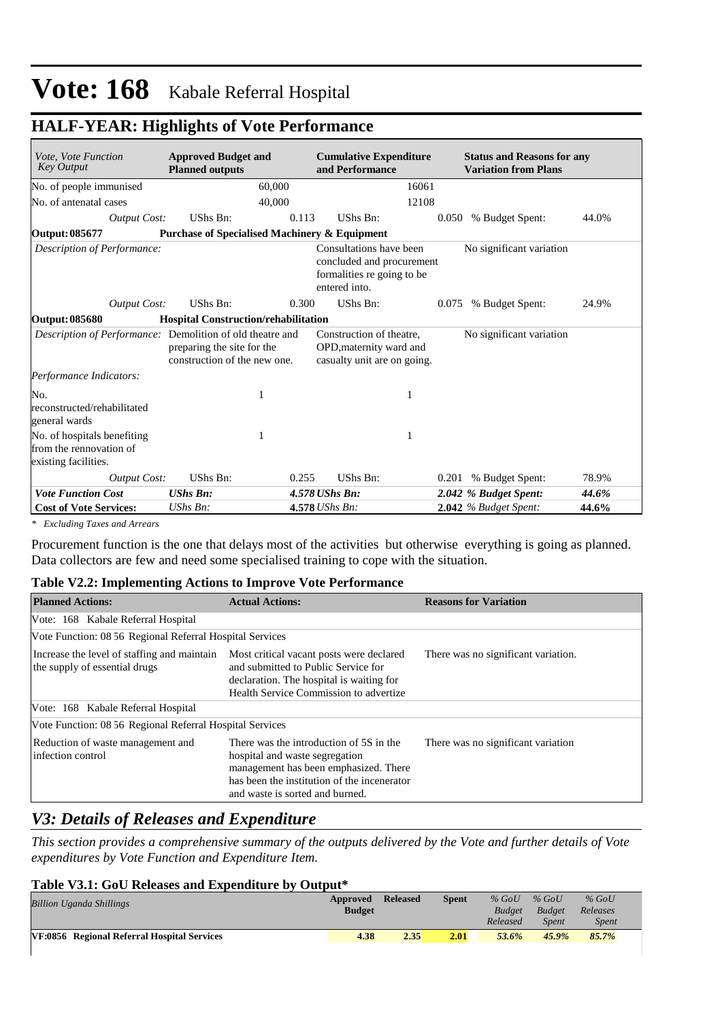| Vote, Vote Function<br><b>Key Output</b>                                       | <b>Approved Budget and</b><br><b>Planned outputs</b>                                        | <b>Cumulative Expenditure</b><br>and Performance                                                    | <b>Status and Reasons for any</b><br><b>Variation from Plans</b> |       |
|--------------------------------------------------------------------------------|---------------------------------------------------------------------------------------------|-----------------------------------------------------------------------------------------------------|------------------------------------------------------------------|-------|
| No. of people immunised                                                        | 60,000                                                                                      | 16061                                                                                               |                                                                  |       |
| No. of antenatal cases                                                         | 40,000                                                                                      | 12108                                                                                               |                                                                  |       |
| <b>Output Cost:</b>                                                            | UShs Bn:                                                                                    | 0.113<br>UShs Bn:                                                                                   | 0.050 % Budget Spent:                                            | 44.0% |
| <b>Output: 085677</b>                                                          | <b>Purchase of Specialised Machinery &amp; Equipment</b>                                    |                                                                                                     |                                                                  |       |
| Description of Performance:                                                    |                                                                                             | Consultations have been<br>concluded and procurement<br>formalities re going to be<br>entered into. | No significant variation                                         |       |
| <b>Output Cost:</b>                                                            | UShs Bn:                                                                                    | UShs Bn:<br>0.300                                                                                   | 0.075 % Budget Spent:                                            | 24.9% |
| Output: 085680                                                                 | <b>Hospital Construction/rehabilitation</b>                                                 |                                                                                                     |                                                                  |       |
| Description of Performance:                                                    | Demolition of old theatre and<br>preparing the site for the<br>construction of the new one. | Construction of theatre,<br>OPD, maternity ward and<br>casualty unit are on going.                  | No significant variation                                         |       |
| Performance Indicators:                                                        |                                                                                             |                                                                                                     |                                                                  |       |
| No.<br>reconstructed/rehabilitated<br>general wards                            |                                                                                             | 1                                                                                                   |                                                                  |       |
| No. of hospitals benefiting<br>from the rennovation of<br>existing facilities. |                                                                                             | 1                                                                                                   |                                                                  |       |
| <b>Output Cost:</b>                                                            | UShs Bn:                                                                                    | UShs Bn:<br>0.255                                                                                   | 0.201 % Budget Spent:                                            | 78.9% |
| <b>Vote Function Cost</b>                                                      | <b>UShs Bn:</b>                                                                             | 4.578 UShs Bn:                                                                                      | 2.042 % Budget Spent:                                            | 44.6% |
| <b>Cost of Vote Services:</b>                                                  | $UShs Bn$ :                                                                                 | 4.578 UShs Bn:                                                                                      | 2.042 % Budget Spent:                                            | 44.6% |

# **HALF-YEAR: Highlights of Vote Performance**

*\* Excluding Taxes and Arrears*

Procurement function is the one that delays most of the activities but otherwise everything is going as planned. Data collectors are few and need some specialised training to cope with the situation.

#### **Table V2.2: Implementing Actions to Improve Vote Performance**

| <b>Planned Actions:</b>                                                      | <b>Actual Actions:</b>                                                                                                                                                                               | <b>Reasons for Variation</b>        |
|------------------------------------------------------------------------------|------------------------------------------------------------------------------------------------------------------------------------------------------------------------------------------------------|-------------------------------------|
| Vote: 168 Kabale Referral Hospital                                           |                                                                                                                                                                                                      |                                     |
| Vote Function: 08 56 Regional Referral Hospital Services                     |                                                                                                                                                                                                      |                                     |
| Increase the level of staffing and maintain<br>the supply of essential drugs | Most critical vacant posts were declared<br>and submitted to Public Service for<br>declaration. The hospital is waiting for<br>Health Service Commission to advertize                                | There was no significant variation. |
| Vote: 168 Kabale Referral Hospital                                           |                                                                                                                                                                                                      |                                     |
| Vote Function: 08 56 Regional Referral Hospital Services                     |                                                                                                                                                                                                      |                                     |
| Reduction of waste management and<br>infection control                       | There was the introduction of 5S in the<br>hospital and waste segregation<br>management has been emphasized. There<br>has been the institution of the incenerator<br>and waste is sorted and burned. | There was no significant variation  |

### *V3: Details of Releases and Expenditure*

*This section provides a comprehensive summary of the outputs delivered by the Vote and further details of Vote expenditures by Vote Function and Expenditure Item.*

#### **Table V3.1: GoU Releases and Expenditure by Output\***

| <b>Billion Uganda Shillings</b>             | Approved<br><b>Budget</b> | <b>Released</b> | <b>Spent</b> | $%$ GoU<br><b>Budget</b> | $%$ GoU<br>Budget | $%$ GoU<br>Releases |
|---------------------------------------------|---------------------------|-----------------|--------------|--------------------------|-------------------|---------------------|
|                                             |                           |                 |              | Released                 | <i>Spent</i>      | <b>Spent</b>        |
| VF:0856 Regional Referral Hospital Services | 4.38                      | 2.35            | 2.01         | 53.6%                    | 45.9%             | 85.7%               |
|                                             |                           |                 |              |                          |                   |                     |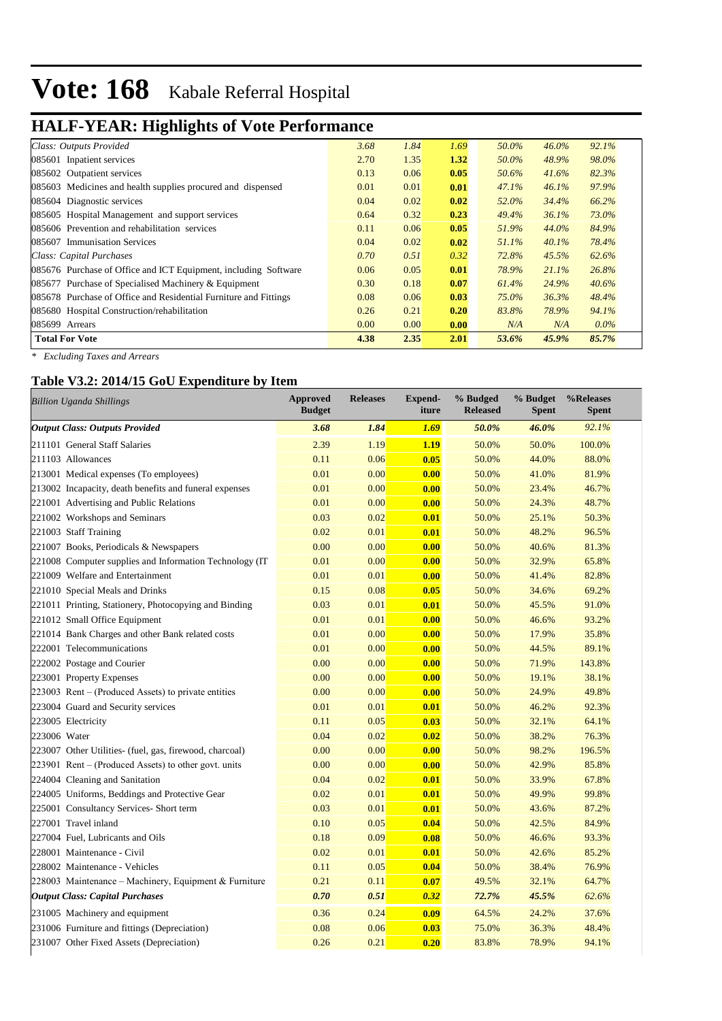# **HALF-YEAR: Highlights of Vote Performance**

| Class: Outputs Provided                                          | 3.68 | 1.84 | 1.69 | 50.0% | $46.0\%$ | 92.1%   |
|------------------------------------------------------------------|------|------|------|-------|----------|---------|
| 085601 Inpatient services                                        | 2.70 | 1.35 | 1.32 | 50.0% | 48.9%    | 98.0%   |
| 085602 Outpatient services                                       | 0.13 | 0.06 | 0.05 | 50.6% | 41.6%    | 82.3%   |
| 085603 Medicines and health supplies procured and dispensed      | 0.01 | 0.01 | 0.01 | 47.1% | 46.1%    | 97.9%   |
| 085604 Diagnostic services                                       | 0.04 | 0.02 | 0.02 | 52.0% | 34.4%    | 66.2%   |
| 085605 Hospital Management and support services                  | 0.64 | 0.32 | 0.23 | 49.4% | 36.1%    | 73.0%   |
| 085606 Prevention and rehabilitation services                    | 0.11 | 0.06 | 0.05 | 51.9% | 44.0%    | 84.9%   |
| 085607 Immunisation Services                                     | 0.04 | 0.02 | 0.02 | 51.1% | $40.1\%$ | 78.4%   |
| Class: Capital Purchases                                         | 0.70 | 0.51 | 0.32 | 72.8% | 45.5%    | 62.6%   |
| 085676 Purchase of Office and ICT Equipment, including Software  | 0.06 | 0.05 | 0.01 | 78.9% | 21.1%    | 26.8%   |
| 085677 Purchase of Specialised Machinery & Equipment             | 0.30 | 0.18 | 0.07 | 61.4% | 24.9%    | 40.6%   |
| 085678 Purchase of Office and Residential Furniture and Fittings | 0.08 | 0.06 | 0.03 | 75.0% | 36.3%    | 48.4%   |
| 085680 Hospital Construction/rehabilitation                      | 0.26 | 0.21 | 0.20 | 83.8% | 78.9%    | 94.1%   |
| 085699 Arrears                                                   | 0.00 | 0.00 | 0.00 | N/A   | N/A      | $0.0\%$ |
| <b>Total For Vote</b>                                            | 4.38 | 2.35 | 2.01 | 53.6% | 45.9%    | 85.7%   |

*\* Excluding Taxes and Arrears*

### **Table V3.2: 2014/15 GoU Expenditure by Item**

| <b>Billion Uganda Shillings</b>                         | <b>Approved</b><br><b>Budget</b> | <b>Releases</b> | <b>Expend-</b><br>iture | % Budged<br><b>Released</b> | % Budget<br><b>Spent</b> | %Releases<br><b>Spent</b> |
|---------------------------------------------------------|----------------------------------|-----------------|-------------------------|-----------------------------|--------------------------|---------------------------|
| <b>Output Class: Outputs Provided</b>                   | 3.68                             | 1.84            | 1.69                    | 50.0%                       | 46.0%                    | 92.1%                     |
| 211101 General Staff Salaries                           | 2.39                             | 1.19            | 1.19                    | 50.0%                       | 50.0%                    | 100.0%                    |
| 211103 Allowances                                       | 0.11                             | 0.06            | 0.05                    | 50.0%                       | 44.0%                    | 88.0%                     |
| 213001 Medical expenses (To employees)                  | 0.01                             | 0.00            | 0.00                    | 50.0%                       | 41.0%                    | 81.9%                     |
| 213002 Incapacity, death benefits and funeral expenses  | 0.01                             | 0.00            | 0.00                    | 50.0%                       | 23.4%                    | 46.7%                     |
| 221001 Advertising and Public Relations                 | 0.01                             | 0.00            | 0.00                    | 50.0%                       | 24.3%                    | 48.7%                     |
| 221002 Workshops and Seminars                           | 0.03                             | 0.02            | 0.01                    | 50.0%                       | 25.1%                    | 50.3%                     |
| 221003 Staff Training                                   | 0.02                             | 0.01            | 0.01                    | 50.0%                       | 48.2%                    | 96.5%                     |
| 221007 Books, Periodicals & Newspapers                  | 0.00                             | 0.00            | 0.00                    | 50.0%                       | 40.6%                    | 81.3%                     |
| 221008 Computer supplies and Information Technology (IT | 0.01                             | 0.00            | 0.00                    | 50.0%                       | 32.9%                    | 65.8%                     |
| 221009 Welfare and Entertainment                        | 0.01                             | 0.01            | 0.00                    | 50.0%                       | 41.4%                    | 82.8%                     |
| 221010 Special Meals and Drinks                         | 0.15                             | 0.08            | 0.05                    | 50.0%                       | 34.6%                    | 69.2%                     |
| 221011 Printing, Stationery, Photocopying and Binding   | 0.03                             | 0.01            | 0.01                    | 50.0%                       | 45.5%                    | 91.0%                     |
| 221012 Small Office Equipment                           | 0.01                             | 0.01            | 0.00                    | 50.0%                       | 46.6%                    | 93.2%                     |
| 221014 Bank Charges and other Bank related costs        | 0.01                             | 0.00            | 0.00                    | 50.0%                       | 17.9%                    | 35.8%                     |
| 222001 Telecommunications                               | 0.01                             | 0.00            | 0.00                    | 50.0%                       | 44.5%                    | 89.1%                     |
| 222002 Postage and Courier                              | 0.00                             | 0.00            | 0.00                    | 50.0%                       | 71.9%                    | 143.8%                    |
| 223001 Property Expenses                                | 0.00                             | 0.00            | 0.00                    | 50.0%                       | 19.1%                    | 38.1%                     |
| 223003 Rent – (Produced Assets) to private entities     | 0.00                             | 0.00            | 0.00                    | 50.0%                       | 24.9%                    | 49.8%                     |
| 223004 Guard and Security services                      | 0.01                             | 0.01            | 0.01                    | 50.0%                       | 46.2%                    | 92.3%                     |
| 223005 Electricity                                      | 0.11                             | 0.05            | 0.03                    | 50.0%                       | 32.1%                    | 64.1%                     |
| 223006 Water                                            | 0.04                             | 0.02            | 0.02                    | 50.0%                       | 38.2%                    | 76.3%                     |
| 223007 Other Utilities- (fuel, gas, firewood, charcoal) | 0.00                             | 0.00            | 0.00                    | 50.0%                       | 98.2%                    | 196.5%                    |
| 223901 Rent – (Produced Assets) to other govt. units    | 0.00                             | 0.00            | 0.00                    | 50.0%                       | 42.9%                    | 85.8%                     |
| 224004 Cleaning and Sanitation                          | 0.04                             | 0.02            | 0.01                    | 50.0%                       | 33.9%                    | 67.8%                     |
| 224005 Uniforms, Beddings and Protective Gear           | 0.02                             | 0.01            | 0.01                    | 50.0%                       | 49.9%                    | 99.8%                     |
| 225001 Consultancy Services- Short term                 | 0.03                             | 0.01            | 0.01                    | 50.0%                       | 43.6%                    | 87.2%                     |
| 227001 Travel inland                                    | 0.10                             | 0.05            | 0.04                    | 50.0%                       | 42.5%                    | 84.9%                     |
| 227004 Fuel, Lubricants and Oils                        | 0.18                             | 0.09            | 0.08                    | 50.0%                       | 46.6%                    | 93.3%                     |
| 228001 Maintenance - Civil                              | 0.02                             | 0.01            | 0.01                    | 50.0%                       | 42.6%                    | 85.2%                     |
| 228002 Maintenance - Vehicles                           | 0.11                             | 0.05            | 0.04                    | 50.0%                       | 38.4%                    | 76.9%                     |
| 228003 Maintenance - Machinery, Equipment & Furniture   | 0.21                             | 0.11            | 0.07                    | 49.5%                       | 32.1%                    | 64.7%                     |
| <b>Output Class: Capital Purchases</b>                  | 0.70                             | 0.51            | 0.32                    | 72.7%                       | 45.5%                    | 62.6%                     |
| 231005 Machinery and equipment                          | 0.36                             | 0.24            | 0.09                    | 64.5%                       | 24.2%                    | 37.6%                     |
| 231006 Furniture and fittings (Depreciation)            | 0.08                             | 0.06            | 0.03                    | 75.0%                       | 36.3%                    | 48.4%                     |
| 231007 Other Fixed Assets (Depreciation)                | 0.26                             | 0.21            | 0.20                    | 83.8%                       | 78.9%                    | 94.1%                     |